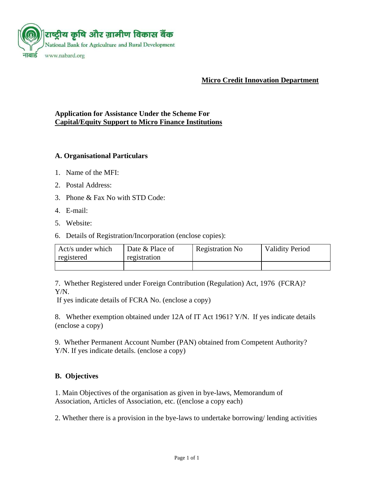

**Micro Credit Innovation Department**

### **Application for Assistance Under the Scheme For Capital/Equity Support to Micro Finance Institutions**

#### **A. Organisational Particulars**

- 1. Name of the MFI:
- 2. Postal Address:
- 3. Phone & Fax No with STD Code:
- 4. E-mail:
- 5. Website:
- 6. Details of Registration/Incorporation (enclose copies):

| Act/s under which<br>registered | Date & Place of<br>registration | <b>Registration No</b> | <b>Validity Period</b> |
|---------------------------------|---------------------------------|------------------------|------------------------|
|                                 |                                 |                        |                        |

7. Whether Registered under Foreign Contribution (Regulation) Act, 1976 (FCRA)? Y/N.

If yes indicate details of FCRA No. (enclose a copy)

8. Whether exemption obtained under 12A of IT Act 1961? Y/N. If yes indicate details (enclose a copy)

9. Whether Permanent Account Number (PAN) obtained from Competent Authority? Y/N. If yes indicate details. (enclose a copy)

## **B. Objectives**

1. Main Objectives of the organisation as given in bye-laws, Memorandum of Association, Articles of Association, etc. ((enclose a copy each)

2. Whether there is a provision in the bye-laws to undertake borrowing/ lending activities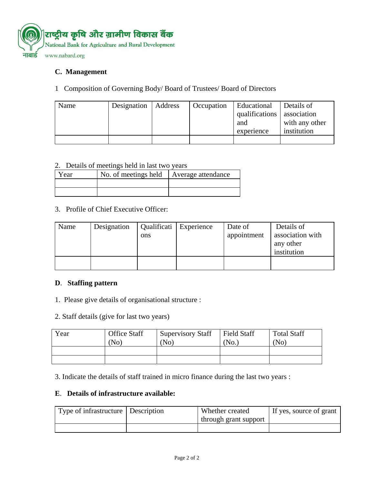

# **C. Management**

## 1 Composition of Governing Body/ Board of Trustees/ Board of Directors

| Name | Designation | Address | Occupation | Educational<br>qualifications<br>and<br>experience | Details of<br>association<br>with any other<br>institution |
|------|-------------|---------|------------|----------------------------------------------------|------------------------------------------------------------|
|      |             |         |            |                                                    |                                                            |

#### 2.Details of meetings held in last two years

| Year | No. of meetings held | Average attendance |
|------|----------------------|--------------------|
|      |                      |                    |
|      |                      |                    |

## 3.Profile of Chief Executive Officer:

| Name | Designation | ons | Qualificati   Experience | Date of<br>appointment | Details of<br>association with<br>any other<br>institution |
|------|-------------|-----|--------------------------|------------------------|------------------------------------------------------------|
|      |             |     |                          |                        |                                                            |

## **D**. **Staffing pattern**

- 1. Please give details of organisational structure :
- 2. Staff details (give for last two years)

| Year | <b>Office Staff</b><br>(No) | <b>Supervisory Staff</b><br>(N <sub>0</sub> ) | <b>Field Staff</b><br>'No. | <b>Total Staff</b><br>(No) |
|------|-----------------------------|-----------------------------------------------|----------------------------|----------------------------|
|      |                             |                                               |                            |                            |
|      |                             |                                               |                            |                            |

3. Indicate the details of staff trained in micro finance during the last two years :

#### **E**. **Details of infrastructure available:**

| Type of infrastructure Description | Whether created       | If yes, source of grant |
|------------------------------------|-----------------------|-------------------------|
|                                    | through grant support |                         |
|                                    |                       |                         |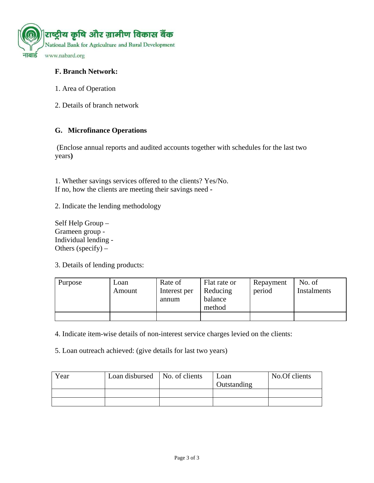

## **F. Branch Network:**

- 1. Area of Operation
- 2. Details of branch network

#### **G. Microfinance Operations**

(Enclose annual reports and audited accounts together with schedules for the last two years**)** 

1. Whether savings services offered to the clients? Yes/No. If no, how the clients are meeting their savings need **-** 

- 2. Indicate the lending methodology
- Self Help Group Grameen group - Individual lending - Others (specify)  $-$

3. Details of lending products:

| Purpose | Loan<br>Amount | Rate of<br>Interest per<br>annum | Flat rate or<br>Reducing<br>balance<br>method | Repayment<br>period | No. of<br>Instalments |
|---------|----------------|----------------------------------|-----------------------------------------------|---------------------|-----------------------|
|         |                |                                  |                                               |                     |                       |

4. Indicate item-wise details of non-interest service charges levied on the clients:

5. Loan outreach achieved: (give details for last two years)

| Year | Loan disbursed   No. of clients | Loan<br>Outstanding | No.Of clients |
|------|---------------------------------|---------------------|---------------|
|      |                                 |                     |               |
|      |                                 |                     |               |